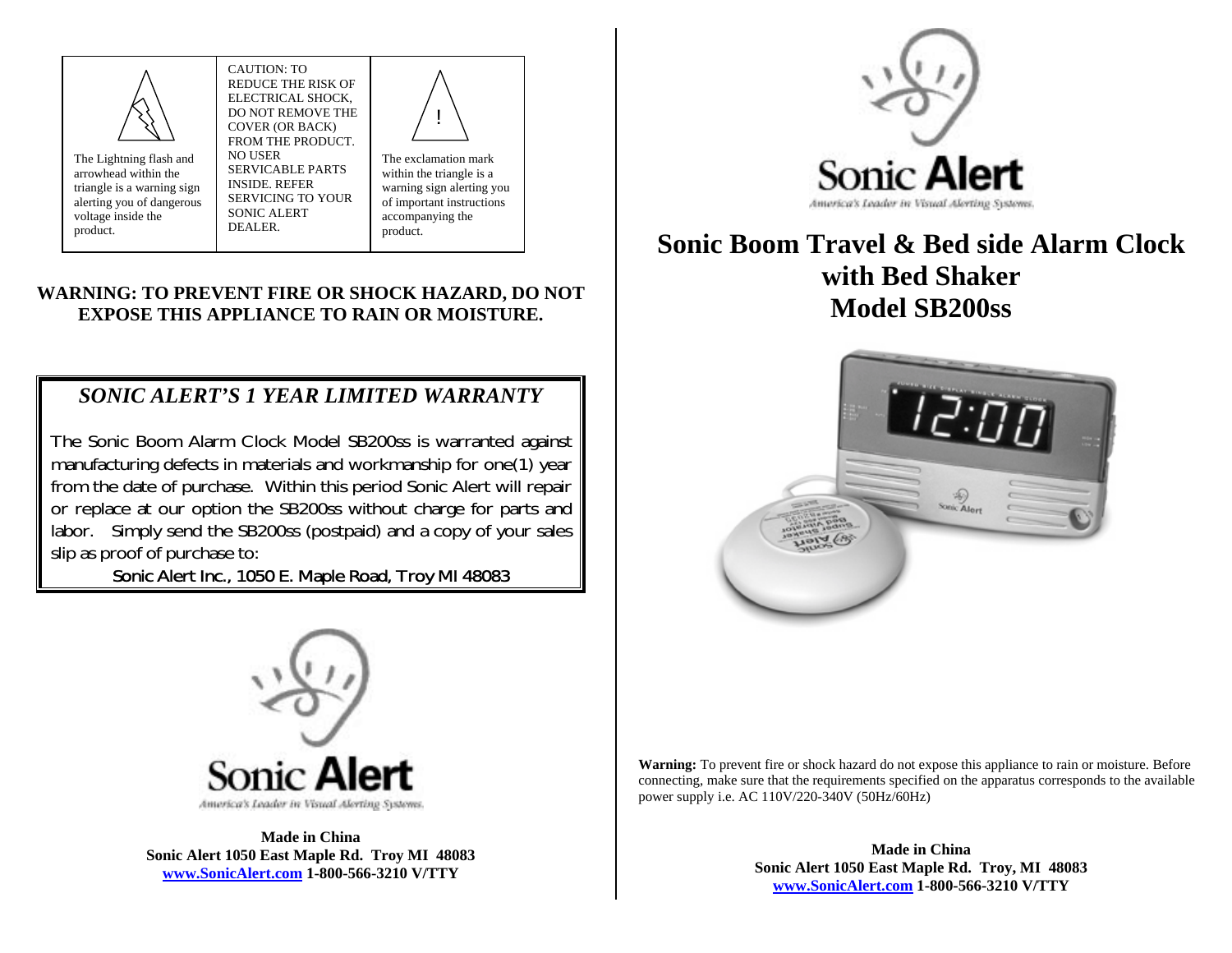

product.

The Lightning flash and arrowhead within the triangle is a warning sign alerting you of dangerous voltage inside the COVER (OR BACK) FROM THE PRODUCT. NO USER SERVICABLE PARTS INSIDE. REFER SERVICING TO YOUR SONIC ALERT DEALER.

CAUTION: TO REDUCE THE RISK OFELECTRICAL SHOCK, DO NOT REMOVE THE

The exclamation mark within the triangle is a warning sign alerting you of important instructions accompanying the product. !

### **WARNING: TO PREVENT FIRE OR SHOCK HAZARD, DO NOT EXPOSE THIS APPLIANCE TO RAIN OR MOISTURE.**

## *SONIC ALERT'S 1 YEAR LIMITED WARRANTY*

The Sonic Boom Alarm Clock Model SB200ss is warranted against manufacturing defects in materials and workmanship for one(1) year from the date of purchase. Within this period Sonic Alert will repair or replace at our option the SB200ss without charge for parts and labor. Simply send the SB200ss (postpaid) and a copy of your sales slip as proof of purchase to:

## Sonic Alert Inc., 1050 E. Maple Road, Troy MI 48083



# **Sonic Boom Travel & Bed side Alarm Clock with Bed Shaker Model SB200ss**





**Made in ChinaSonic Alert 1050 East Maple Rd. Troy MI 48083 [www.SonicAlert.com](http://www.sonicalert.com/) 1-800-566-3210 V/TTY**

**Warning:** To prevent fire or shock hazard do not expose this appliance to rain or moisture. Before connecting, make sure that the requirements specified on the apparatus corresponds to the available power supply i.e. AC 110V/220-340V (50Hz/60Hz)

> **Made in ChinaSonic Alert 1050 East Maple Rd. Troy, MI 48083 [www.SonicAlert.com](http://www.sonicalert.com/) 1-800-566-3210 V/TTY**